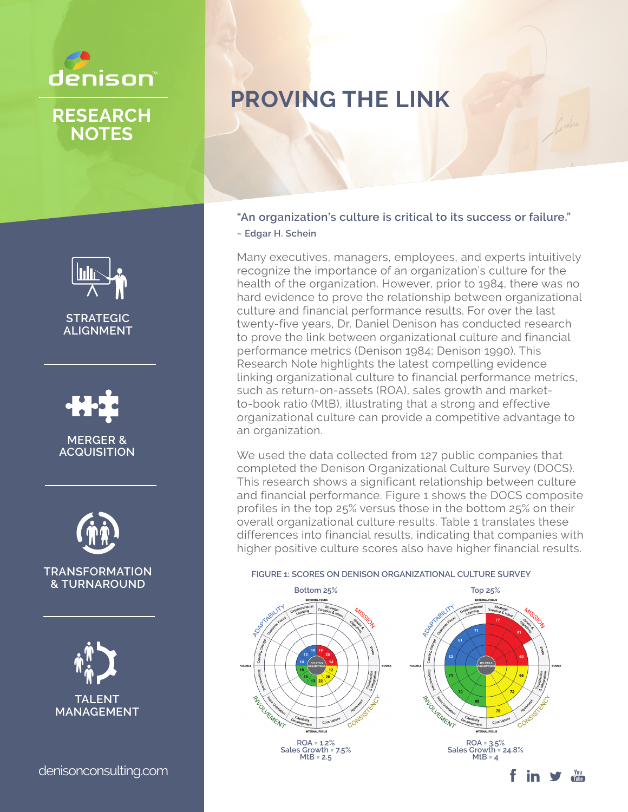

**NOTES**

# **PROVING THE LINK**

**"An organization's culture is critical to its success or failure." ~ Edgar H. Schein**

Many executives, managers, employees, and experts intuitively recognize the importance of an organization's culture for the health of the organization. However, prior to 1984, there was no hard evidence to prove the relationship between organizational culture and financial performance results. For over the last twenty-five years, Dr. Daniel Denison has conducted research to prove the link between organizational culture and financial performance metrics (Denison 1984; Denison 1990). This Research Note highlights the latest compelling evidence linking organizational culture to financial performance metrics, such as return-on-assets (ROA), sales growth and marketto-book ratio (MtB), illustrating that a strong and effective organizational culture can provide a competitive advantage to an organization.

We used the data collected from 127 public companies that completed the Denison Organizational Culture Survey (DOCS). This research shows a significant relationship between culture and financial performance. Figure 1 shows the DOCS composite profiles in the top 25% versus those in the bottom 25% on their overall organizational culture results. Table 1 translates these differences into financial results, indicating that companies with higher positive culture scores also have higher financial results.



**STRATEGIC ALIGNMENT**

**MERGER & ACQUISITION**



**TRANSFORMATION & TURNAROUND**



denisonconsulting.com

f in V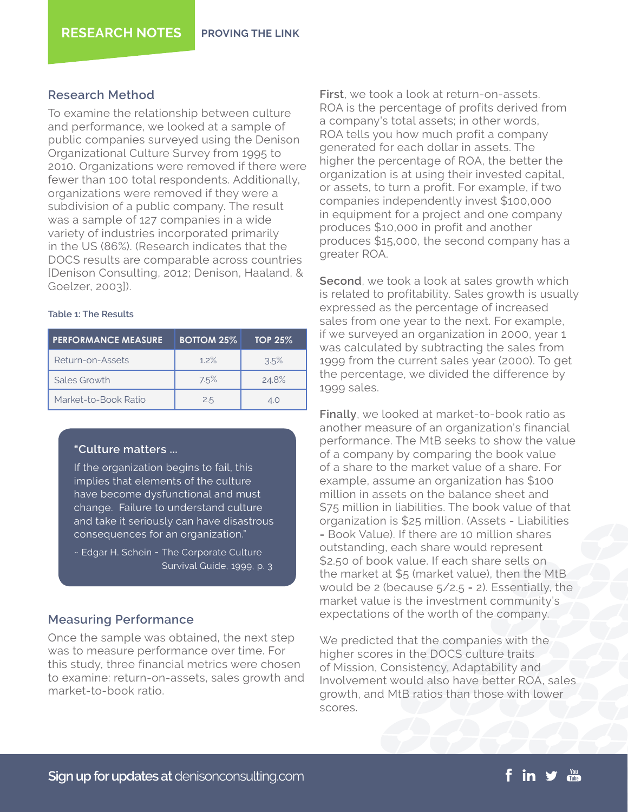## **Research Method**

To examine the relationship between culture and performance, we looked at a sample of public companies surveyed using the Denison Organizational Culture Survey from 1995 to 2010. Organizations were removed if there were fewer than 100 total respondents. Additionally, organizations were removed if they were a subdivision of a public company. The result was a sample of 127 companies in a wide variety of industries incorporated primarily in the US (86%). (Research indicates that the DOCS results are comparable across countries [Denison Consulting, 2012; Denison, Haaland, & Goelzer, 2003]).

## **Table 1: The Results**

| <b>PERFORMANCE MEASURE</b> | <b>BOTTOM 25%</b> | <b>TOP 25%</b> |
|----------------------------|-------------------|----------------|
| Return-on-Assets           | 1.2%              | 3.5%           |
| Sales Growth               | 7.5%              | 24.8%          |
| Market-to-Book Ratio       | 2.5               | 4.0            |

## **"Culture matters ...**

If the organization begins to fail, this implies that elements of the culture have become dysfunctional and must change. Failure to understand culture and take it seriously can have disastrous consequences for an organization."

# **Measuring Performance**

Once the sample was obtained, the next step was to measure performance over time. For this study, three financial metrics were chosen to examine: return-on-assets, sales growth and market-to-book ratio.

**First**, we took a look at return-on-assets. ROA is the percentage of profits derived from a company's total assets; in other words, ROA tells you how much profit a company generated for each dollar in assets. The higher the percentage of ROA, the better the organization is at using their invested capital, or assets, to turn a profit. For example, if two companies independently invest \$100,000 in equipment for a project and one company produces \$10,000 in profit and another produces \$15,000, the second company has a greater ROA.

**Second**, we took a look at sales growth which is related to profitability. Sales growth is usually expressed as the percentage of increased sales from one year to the next. For example, if we surveyed an organization in 2000, year 1 was calculated by subtracting the sales from 1999 from the current sales year (2000). To get the percentage, we divided the difference by 1999 sales.

**Finally**, we looked at market-to-book ratio as another measure of an organization's financial performance. The MtB seeks to show the value of a company by comparing the book value of a share to the market value of a share. For example, assume an organization has \$100 million in assets on the balance sheet and \$75 million in liabilities. The book value of that organization is \$25 million. (Assets - Liabilities = Book Value). If there are 10 million shares outstanding, each share would represent \$2.50 of book value. If each share sells on the market at \$5 (market value), then the MtB would be 2 (because  $5/2.5 = 2$ ). Essentially, the market value is the investment community's expectations of the worth of the company.

We predicted that the companies with the higher scores in the DOCS culture traits of Mission, Consistency, Adaptability and Involvement would also have better ROA, sales growth, and MtB ratios than those with lower scores.

<sup>~</sup> Edgar H. Schein - The Corporate Culture Survival Guide, 1999, p. 3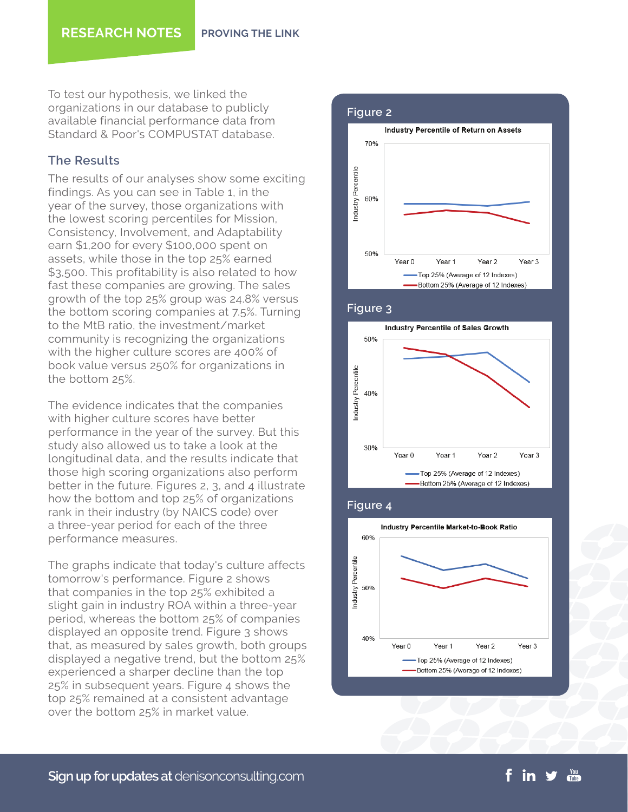To test our hypothesis, we linked the organizations in our database to publicly available financial performance data from Standard & Poor's COMPUSTAT database.

# **The Results**

The results of our analyses show some exciting findings. As you can see in Table 1, in the year of the survey, those organizations with the lowest scoring percentiles for Mission, Consistency, Involvement, and Adaptability earn \$1,200 for every \$100,000 spent on assets, while those in the top 25% earned \$3,500. This profitability is also related to how fast these companies are growing. The sales growth of the top 25% group was 24.8% versus the bottom scoring companies at 7.5%. Turning to the MtB ratio, the investment/market community is recognizing the organizations with the higher culture scores are 400% of book value versus 250% for organizations in the bottom 25%.

The evidence indicates that the companies with higher culture scores have better performance in the year of the survey. But this study also allowed us to take a look at the longitudinal data, and the results indicate that those high scoring organizations also perform better in the future. Figures 2, 3, and 4 illustrate how the bottom and top 25% of organizations rank in their industry (by NAICS code) over a three-year period for each of the three performance measures.

The graphs indicate that today's culture affects tomorrow's performance. Figure 2 shows that companies in the top 25% exhibited a slight gain in industry ROA within a three-year period, whereas the bottom 25% of companies displayed an opposite trend. Figure 3 shows that, as measured by sales growth, both groups displayed a negative trend, but the bottom 25% experienced a sharper decline than the top 25% in subsequent years. Figure 4 shows the top 25% remained at a consistent advantage over the bottom 25% in market value.









**Sign up for updates at** denisonconsulting.com